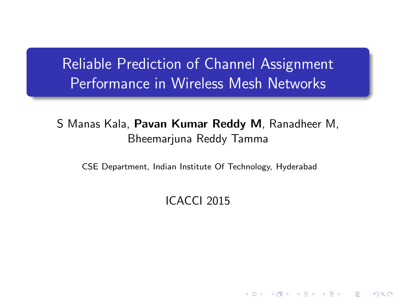## Reliable Prediction of Channel Assignment Performance in Wireless Mesh Networks

## S Manas Kala, Pavan Kumar Reddy M, Ranadheer M, Bheemarjuna Reddy Tamma

<span id="page-0-0"></span>CSE Department, Indian Institute Of Technology, Hyderabad

## ICACCI 2015

K ロチ (K @ ) (K # ) (K # ) ( # #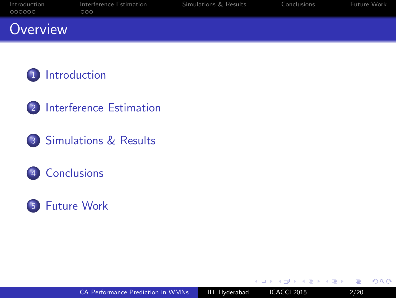| Introduction<br>000000 | Interference Estimation<br>೧೦೦ | Simulations & Results | Conclusions | Future Work |
|------------------------|--------------------------------|-----------------------|-------------|-------------|
| Overview               |                                |                       |             |             |



- 2 [Interference Estimation](#page-12-0)
- 3 [Simulations & Results](#page-16-0)



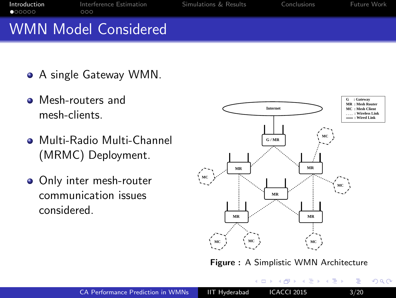| Introduction<br>000000 | Interference Estimation<br>റററ | Simulations & Results | Conclusions | Future Work |
|------------------------|--------------------------------|-----------------------|-------------|-------------|
|                        | <b>WMN Model Considered</b>    |                       |             |             |

- - A single Gateway WMN.
	- Mesh-routers and mesh-clients.
	- Multi-Radio Multi-Channel (MRMC) Deployment.
	- Only inter mesh-router communication issues considered.



Figure : A Simplistic WMN Architecture

<span id="page-2-0"></span> $QQ$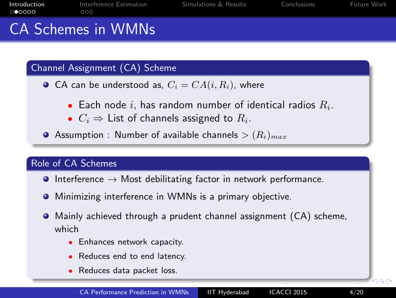| Introduction<br>0 00000 | Interference Estimation<br>റററ | Simulations & Results | Conclusions | Future Work |
|-------------------------|--------------------------------|-----------------------|-------------|-------------|
|                         | <b>CA Schemes in WMNs</b>      |                       |             |             |

#### Channel Assignment (CA) Scheme

- CA can be understood as,  $C_i = CA(i, R_i)$ , where
	- Each node i, has random number of identical radios  $R_i$ .
	- $C_i \Rightarrow$  List of channels assigned to  $R_i$ .

**•** Assumption : Number of available channels  $>(R_i)_{max}$ 

#### Role of CA Schemes

- $\bullet$  Interference  $\rightarrow$  Most debilitating factor in network performance.
- **•** Minimizing interference in WMNs is a primary objective.
- <span id="page-3-0"></span>Mainly achieved through a prudent channel assignment (CA) scheme, which
	- Enhances network capacity.
	- Reduces end to end latency.
	- Reduces data packet loss.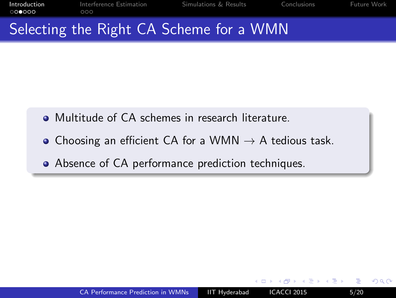

- **Multitude of CA schemes in research literature.**
- Choosing an efficient CA for a WMN  $\rightarrow$  A tedious task.
- Absence of CA performance prediction techniques.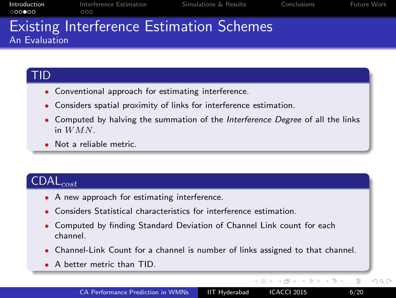| Introduction<br>000000 | Interference Estimation<br>റററ                  | Simulations & Results | Conclusions | Future Work |
|------------------------|-------------------------------------------------|-----------------------|-------------|-------------|
|                        | <b>Existing Interference Estimation Schemes</b> |                       |             |             |

## An Evaluation

#### TID

- Conventional approach for estimating interference.
- Considers spatial proximity of links for interference estimation.
- Computed by halving the summation of the Interference Degree of all the links in  $WMN$ .
- Not a reliable metric.

## $\text{CDAL}_{cost}$

- A new approach for estimating interference.
- Considers Statistical characteristics for interference estimation.
- Computed by finding Standard Deviation of Channel Link count for each channel.
- Channel-Link Count for a channel is number of links assigned to that channel.
- A better metric than TID.

<span id="page-5-0"></span> $QQ$ 

 $\left\{ \begin{array}{ccc} 1 & 0 & 0 \\ 0 & 1 & 0 \end{array} \right.$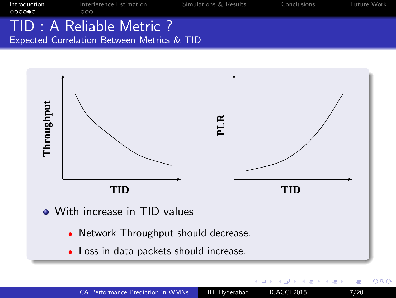

<span id="page-6-0"></span>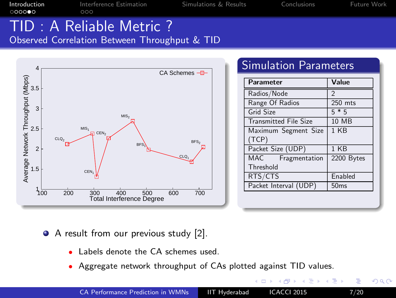| Introduction<br>000000                   | Interference Estimation<br>000                                             | Simulations & Results | Conclusions                   | Future Work    |
|------------------------------------------|----------------------------------------------------------------------------|-----------------------|-------------------------------|----------------|
|                                          | TID : A Reliable Metric ?<br>Observed Correlation Between Throughput & TID |                       |                               |                |
|                                          |                                                                            | $CA$ Schemes $-\Box$  | <b>Simulation Parameters</b>  |                |
|                                          |                                                                            |                       | Parameter                     | Value          |
| 3.5                                      |                                                                            |                       | Radios/Node                   | $\overline{2}$ |
|                                          |                                                                            |                       | Range Of Radios               | 250 mts        |
| 3                                        | $MIS_{2}$                                                                  |                       | Grid Size                     | $5 * 5$        |
|                                          |                                                                            |                       | <b>Transmitted File Size</b>  | 10 MB          |
| Average Network Throughput (Mbps)<br>2.5 | MIS <sub>1</sub><br><b>ロ</b> CEN <sub>2</sub><br>CLQ <sub>2</sub>          | BFS <sub>2</sub>      | Maximum Segment Size<br>(TCP) | 1 KB           |
| $\overline{2}$                           | BFS.                                                                       |                       | Packet Size (UDP)             | 1 KB           |
|                                          |                                                                            | CLQ <sub>1</sub>      | <b>MAC</b><br>Fragmentation   | 2200 Bytes     |
| 1.5                                      |                                                                            |                       | Threshold                     |                |
|                                          | CEN <sub>1</sub>                                                           |                       | RTS/CTS                       | Enabled        |
|                                          |                                                                            |                       | Packet Interval (UDP)         | 50ms           |
| 100                                      | 200<br>300<br>400<br>500<br><b>Total Interference Degree</b>               | 600<br>700            |                               |                |

- A result from our previous study [\[2\]](#page-29-0).
	- Labels denote the CA schemes used.
	- Aggregate network throughput of CAs plotted against TID values.

€ □ F

<span id="page-7-0"></span>重

Э×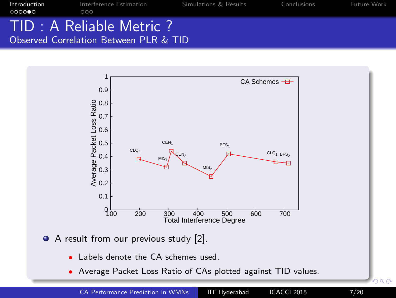



- A result from our previous study [\[2\]](#page-29-0).
	- Labels denote the CA schemes used.
	- Average Packet Loss Ratio of CAs plotted a[gain](#page-7-0)[st](#page-9-0) [T](#page-5-0)[I](#page-6-0)[D](#page-9-0) [v](#page-10-0)[al](#page-2-0)[u](#page-3-0)[es](#page-11-0)[.](#page-12-0)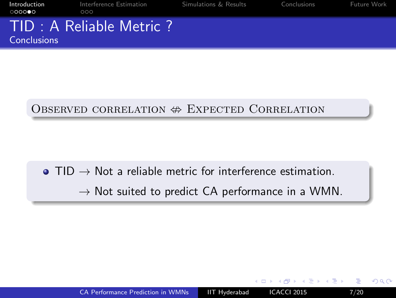| Introduction<br>000000 | Interference Estimation<br>000 | Simulations & Results | Conclusions | Future Work |
|------------------------|--------------------------------|-----------------------|-------------|-------------|
| <b>Conclusions</b>     | TID: A Reliable Metric ?       |                       |             |             |

#### OBSERVED CORRELATION  $\Leftrightarrow$  EXPECTED CORRELATION

<span id="page-9-0"></span> $\bullet$  TID  $\rightarrow$  Not a reliable metric for interference estimation.  $\rightarrow$  Not suited to predict CA performance in a WMN.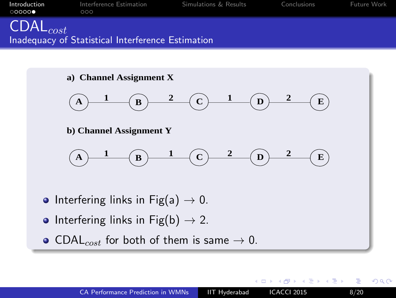





**b) Channel Assignment Y**



- Interfering links in Fig(a)  $\rightarrow$  0.
- Interfering links in Fig(b)  $\rightarrow$  2.
- CDAL<sub>cost</sub> for both of them is same  $\rightarrow$  0.

4.0.3

<span id="page-10-0"></span>- イヨメ イヨメ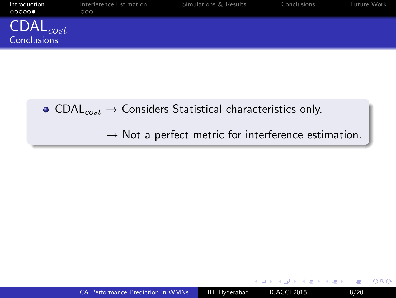| Introduction<br>00000                 | Interference Estimation<br>000 | Simulations & Results | Conclusions | Future Work |
|---------------------------------------|--------------------------------|-----------------------|-------------|-------------|
| $\mathsf{CDAL}_{cost}$<br>Conclusions |                                |                       |             |             |

## • CDAL $_{cost}$   $\rightarrow$  Considers Statistical characteristics only.

<span id="page-11-0"></span> $\rightarrow$  Not a perfect metric for interference estimation.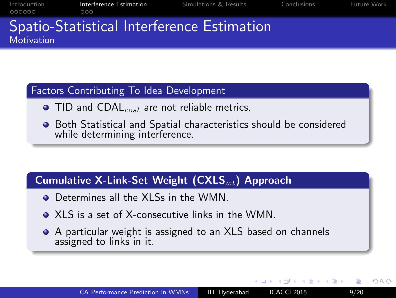[Introduction](#page-2-0) [Interference Estimation](#page-12-0) [Simulations & Results](#page-16-0) [Conclusions](#page-27-0) [Future Work](#page-28-0)<br>000000 000

<span id="page-12-0"></span> $209$ 

## Spatio-Statistical Interference Estimation **Motivation**

#### Factors Contributing To Idea Development

- $\bullet$  TID and CDAL $_{cost}$  are not reliable metrics.
- **•** Both Statistical and Spatial characteristics should be considered while determining interference.

#### Cumulative X-Link-Set Weight  $(CXLS_{wt})$  Approach

- **O** Determines all the XLSs in the WMN.
- XLS is a set of X-consecutive links in the WMN.
- A particular weight is assigned to an XLS based on channels assigned to links in it.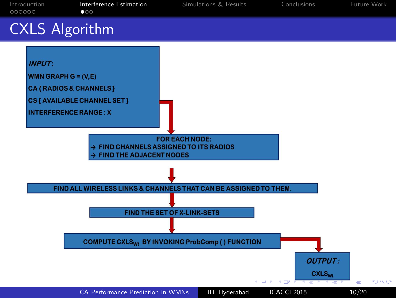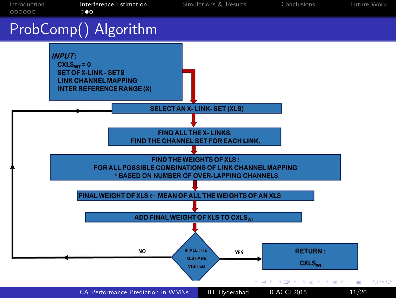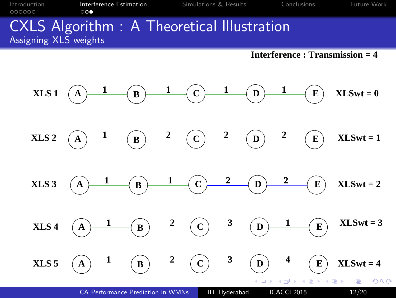[Introduction](#page-2-0) [Interference Estimation](#page-12-0) [Simulations & Results](#page-16-0) [Conclusions](#page-27-0) [Future Work](#page-28-0)<br>000000 000 CXLS Algorithm : A Theoretical Illustration Assigning XLS weights

**Interference : Transmission = 4**

**A D E 1 1 1 1 C XLS 1 XLSwt = 0 B A C D E 1 2 2 2 XLS 2 XLSwt = 1 B C D E 1 1 2 2 A XLS 3 XLSwt = 2 B XLSwt = 3 XLS 4 1 2 3 1 C D A E B 1 2 3 4 XLS 5 XLSwt = 4 A C E D B** [CA Performance Prediction in WMNs](#page-0-0) IIT Hyderabad ICACCI 2015 12/20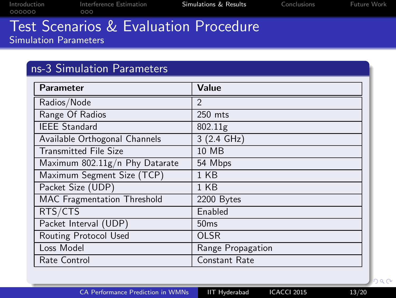[Introduction](#page-2-0) [Interference Estimation](#page-12-0) **[Simulations & Results](#page-16-0)** [Conclusions](#page-27-0) [Future Work](#page-28-0)<br>000000 000 000

<span id="page-16-0"></span>

### Test Scenarios & Evaluation Procedure Simulation Parameters

## ns-3 Simulation Parameters

| <b>Parameter</b>               | Value               |
|--------------------------------|---------------------|
| Radios/Node                    | $\mathfrak{D}$      |
| Range Of Radios                | 250 mts             |
| <b>IEEE Standard</b>           | 802.11 <sub>g</sub> |
| Available Orthogonal Channels  | 3(2.4 GHz)          |
| <b>Transmitted File Size</b>   | 10 MB               |
| Maximum 802.11g/n Phy Datarate | 54 Mbps             |
| Maximum Segment Size (TCP)     | 1 KB                |
| Packet Size (UDP)              | 1 KB                |
| MAC Fragmentation Threshold    | 2200 Bytes          |
| RTS/CTS                        | Enabled             |
| Packet Interval (UDP)          | 50ms                |
| Routing Protocol Used          | <b>OLSR</b>         |
| Loss Model                     | Range Propagation   |
| Rate Control                   | Constant Rate       |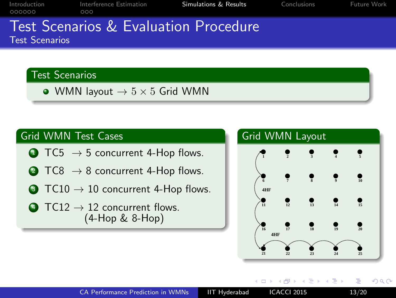[Introduction](#page-2-0) [Interference Estimation](#page-12-0) **[Simulations & Results](#page-16-0)** [Conclusions](#page-27-0) [Future Work](#page-28-0)<br>000000 000 000 Test Scenarios & Evaluation Procedure Test Scenarios

#### Test Scenarios

• WMN layout  $\rightarrow$  5  $\times$  5 Grid WMN

#### Grid WMN Test Cases

- $\bigodot$  TC5  $\rightarrow$  5 concurrent 4-Hop flows.
- $\bullet$  TC8  $\rightarrow$  8 concurrent 4-Hop flows.
- $\bigodot$  TC10  $\rightarrow$  10 concurrent 4-Hop flows.
- $\bigodot$  TC12  $\rightarrow$  12 concurrent flows. (4-Hop & 8-Hop)

#### Grid WMN Layout

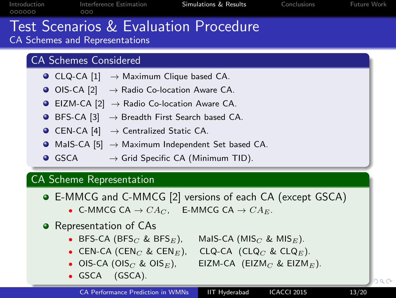| 000000 |                              | 000                                                             | Introduction The Interference Estimation <b>Simulations &amp; Results</b> | Conclusions Future Work |
|--------|------------------------------|-----------------------------------------------------------------|---------------------------------------------------------------------------|-------------------------|
|        |                              | <b>CA Schemes and Representations</b>                           | Test Scenarios & Evaluation Procedure                                     |                         |
|        | <b>CA Schemes Considered</b> |                                                                 |                                                                           |                         |
|        |                              | $\bullet$ CLQ-CA [1] $\rightarrow$ Maximum Clique based CA.     |                                                                           |                         |
|        |                              | $\bullet$ OIS-CA [2] $\rightarrow$ Radio Co-location Aware CA.  |                                                                           |                         |
|        |                              | $\bullet$ EIZM-CA [2] $\rightarrow$ Radio Co-location Aware CA. |                                                                           |                         |
|        |                              |                                                                 | $\bullet$ BFS-CA [3] $\rightarrow$ Breadth First Search based CA.         |                         |
|        |                              | $\bullet$ CEN-CA [4] $\rightarrow$ Centralized Static CA.       |                                                                           |                         |
|        |                              |                                                                 | • MaIS-CA [5] $\rightarrow$ Maximum Independent Set based CA.             |                         |

 $\bullet$  GSCA  $\rightarrow$  Grid Specific CA (Minimum TID).

#### CA Scheme Representation

- E-MMCG and C-MMCG [\[2\]](#page-29-0) versions of each CA (except GSCA)
	- C-MMCG CA  $\rightarrow CA_C$ , E-MMCG CA  $\rightarrow CA_E$ .
- Representation of CAs
	- BFS-CA (BFS<sub>C</sub> & BFS<sub>E</sub>), MaIS-CA (MIS<sub>C</sub> & MIS<sub>E</sub>).
	- CEN-CA (CEN<sub>C</sub> & CEN<sub>E</sub>), CLQ-CA (CLQ<sub>C</sub> & CLQ<sub>E</sub>).
	- OIS-CA (OIS<sub>C</sub> & OIS<sub>E</sub>), EIZM-CA (EIZM<sub>C</sub> & EIZM<sub>E</sub>).
	- GSCA (GSCA).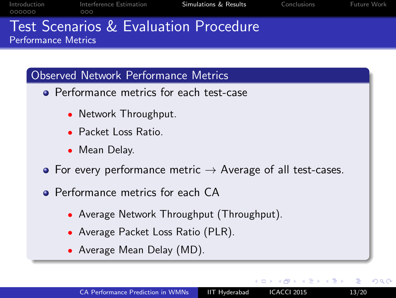[Introduction](#page-2-0) [Interference Estimation](#page-12-0) **[Simulations & Results](#page-16-0)** [Conclusions](#page-27-0) [Future Work](#page-28-0)<br>000000 000 Test Scenarios & Evaluation Procedure

## Observed Network Performance Metrics

- **O** Performance metrics for each test-case
	- Network Throughput.
	- Packet Loss Ratio.
	- Mean Delay.

Performance Metrics

- For every performance metric  $\rightarrow$  Average of all test-cases.
- **Performance metrics for each CA** 
	- Average Network Throughput (Throughput).
	- Average Packet Loss Ratio (PLR).
	- Average Mean Delay (MD).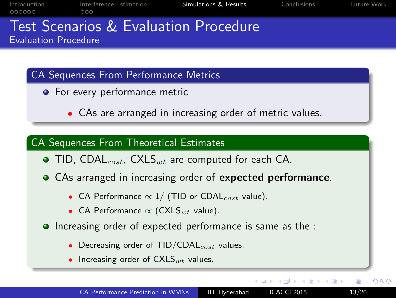[Introduction](#page-2-0) [Interference Estimation](#page-12-0) **[Simulations & Results](#page-16-0)** [Conclusions](#page-27-0) [Future Work](#page-28-0)<br>000000 000 Test Scenarios & Evaluation Procedure Evaluation Procedure

#### CA Sequences From Performance Metrics

- **•** For every performance metric
	- CAs are arranged in increasing order of metric values.

#### CA Sequences From Theoretical Estimates

- $\bullet$  TID, CDAL<sub>cost</sub>, CXLS<sub>wt</sub> are computed for each CA.
- **CAs arranged in increasing order of expected performance.** 
	- CA Performance  $\propto 1/$  (TID or CDAL<sub>cost</sub> value).
	- CA Performance  $\propto$  (CXLS<sub>wt</sub> value).
- **Increasing order of expected performance is same as the :** 
	- Decreasing order of  $TID/CDAL_{cost}$  values.
	- Increasing order of  $CXLS_{wt}$  values.

(□ ) (何 ) (□

 $QQ$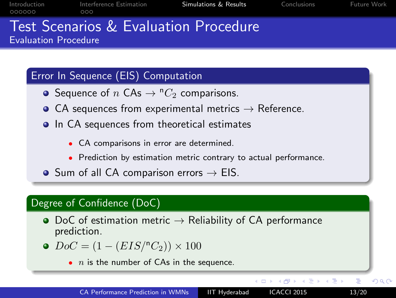[Introduction](#page-2-0) [Interference Estimation](#page-12-0) **[Simulations & Results](#page-16-0)** [Conclusions](#page-27-0) [Future Work](#page-28-0)<br>000000 000 Test Scenarios & Evaluation Procedure

#### Evaluation Procedure

#### Error In Sequence (EIS) Computation

- Sequence of n CAs  $\rightarrow$   ${}^nC_2$  comparisons.
- $\bullet$  CA sequences from experimental metrics  $\rightarrow$  Reference.
- In CA sequences from theoretical estimates
	- CA comparisons in error are determined.
	- Prediction by estimation metric contrary to actual performance.
- Sum of all CA comparison errors  $\rightarrow$  EIS.

#### Degree of Confidence (DoC)

- $\bullet$  DoC of estimation metric  $\rightarrow$  Reliability of CA performance prediction.
- $\bullet$   $DoC = (1 (EIS)^nC_2) \times 100$ 
	- $\bullet$  n is the number of CAs in the sequence.

 $QQ$ 

 $\left\{ \begin{array}{ccc} 1 & 0 & 0 \\ 0 & 1 & 0 \end{array} \right.$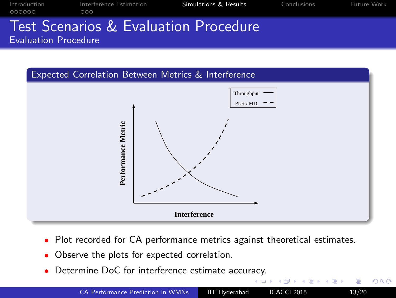



- Plot recorded for CA performance metrics against theoretical estimates.
- Observe the plots for expected correlation.
- Determine DoC for interference estimate accuracy.

∍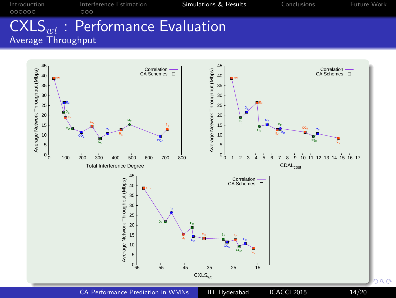[Introduction](#page-2-0) [Interference Estimation](#page-12-0) **[Simulations & Results](#page-16-0)** [Conclusions](#page-27-0) [Future Work](#page-28-0)<br>000000 000 000  $\mathsf{CXLS}_{wt}$  : Performance Evaluation Average Throughput



[CA Performance Prediction in WMNs](#page-0-0) IIT Hyderabad ICACCI 2015 14/20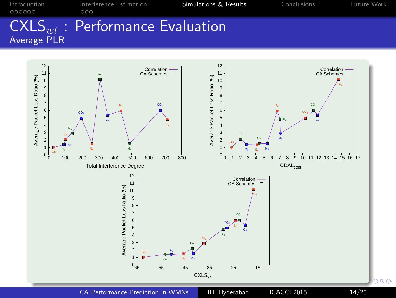



[CA Performance Prediction in WMNs](#page-0-0) IIT Hyderabad ICACCI 2015 14/20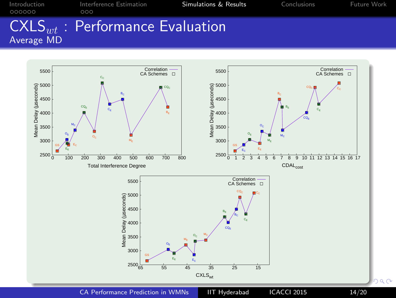

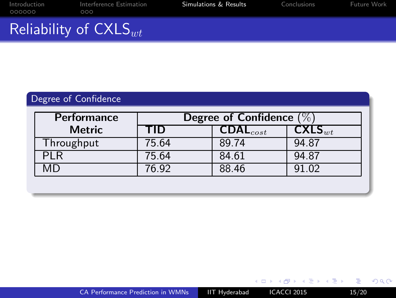| -Introduction<br>000000 | Interference Estimation<br>റററ | Simulations & Results | Conclusions | Future Work |
|-------------------------|--------------------------------|-----------------------|-------------|-------------|
|                         | Reliability of $CXLS_{wt}$     |                       |             |             |

#### Degree of Confidence

| <b>Performance</b> | Degree of Confidence $(\%)$ |               |                      |
|--------------------|-----------------------------|---------------|----------------------|
| <b>Metric</b>      | TID.                        | $CDAL_{cost}$ | $\mathsf{CXLS}_{wt}$ |
| Throughput         | 75.64                       | 89.74         | 94.87                |
| PI R               | 75.64                       | 84.61         | 94.87                |
| Æ                  | 76 Q2                       | 88.46         |                      |

メロメ メ御う メミメ メミメー

重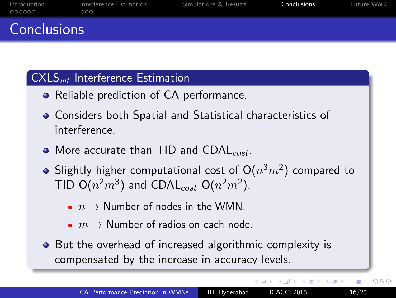| Introduction<br>000000 | Interference Estimation<br>റററ | Simulations & Results | Conclusions | Future Work |
|------------------------|--------------------------------|-----------------------|-------------|-------------|
| <b>Conclusions</b>     |                                |                       |             |             |

#### $\mathsf{CXLS}_{wt}$  Interference Estimation

- Reliable prediction of CA performance.
- Considers both Spatial and Statistical characteristics of interference.
- More accurate than TID and  $CDAL_{cost}$ .
- Slightly higher computational cost of  $\mathrm{O}(n^3m^2)$  compared to TID  $O(n^2m^3)$  and  $CDAL_{cost}$   $O(n^2m^2)$ .
	- $n \to$  Number of nodes in the WMN.
	- $m \rightarrow$  Number of radios on each node.
- But the overhead of increased algorithmic complexity is compensated by the increase in accuracy levels.

<span id="page-27-0"></span> $QQ$ 

∍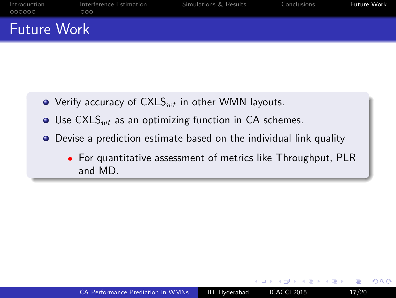| Introduction<br>000000 | Interference Estimation<br>000 | Simulations & Results | Conclusions | Future Work |
|------------------------|--------------------------------|-----------------------|-------------|-------------|
| Future Work            |                                |                       |             |             |

- $\bullet$  Verify accuracy of CXLS $_{wt}$  in other WMN layouts.
- $\bullet$  Use CXLS<sub>wt</sub> as an optimizing function in CA schemes.
- <span id="page-28-0"></span>Devise a prediction estimate based on the individual link quality
	- For quantitative assessment of metrics like Throughput, PLR and MD.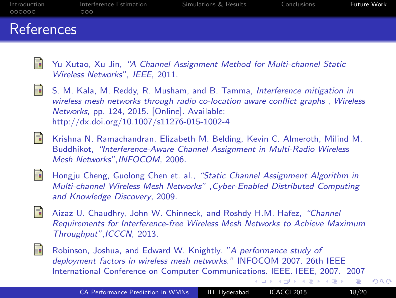| Introduction<br>000000 | Interference Estimation<br>റററ | Simulations & Results | Conclusions | Future Work |
|------------------------|--------------------------------|-----------------------|-------------|-------------|
| References             |                                |                       |             |             |

- <span id="page-29-1"></span>Yu Xutao, Xu Jin, "A Channel Assignment Method for Multi-channel Static Wireless Networks", IEEE, 2011.
- <span id="page-29-0"></span>F
- S. M. Kala, M. Reddy, R. Musham, and B. Tamma, Interference mitigation in wireless mesh networks through radio co-location aware conflict graphs , Wireless Networks, pp. 124, 2015. [Online]. Available: http://dx.doi.org/10.1007/s11276-015-1002-4
- <span id="page-29-2"></span> $\blacksquare$ Krishna N. Ramachandran, Elizabeth M. Belding, Kevin C. Almeroth, Milind M. Buddhikot, "Interference-Aware Channel Assignment in Multi-Radio Wireless Mesh Networks",INFOCOM, 2006.
- <span id="page-29-3"></span>量

Hongju Cheng, Guolong Chen et. al., "Static Channel Assignment Algorithm in Multi-channel Wireless Mesh Networks" ,Cyber-Enabled Distributed Computing and Knowledge Discovery, 2009.

<span id="page-29-4"></span>靠

Aizaz U. Chaudhry, John W. Chinneck, and Roshdy H.M. Hafez, "Channel Requirements for Interference-free Wireless Mesh Networks to Achieve Maximum Throughput",ICCCN, 2013.

暈 Robinson, Joshua, and Edward W. Knightly. "A performance study of deployment factors in wireless mesh networks." INFOCOM 2007. 26th IEEE International Conference on Computer Communicat[ion](#page-28-0)s[. I](#page-30-0)[E](#page-28-0)[EE.](#page-29-5) [I](#page-30-0)[E](#page-27-0)[E](#page-28-0)[E, 2](#page-31-0)[0](#page-27-0)[0](#page-28-0)[7.](#page-31-0) [20](#page-0-0)[07](#page-31-0)

イロト イ何 トイヨ トイヨ トーヨ

<span id="page-29-5"></span> $\Omega$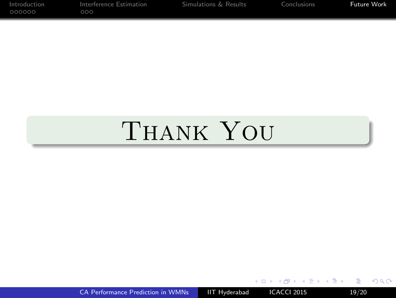| Introduction | Interference Estimation | Simulations & Results | Conclusions | <b>Future Work</b> |
|--------------|-------------------------|-----------------------|-------------|--------------------|
| 000000       | OOO'                    |                       |             |                    |

## Thank You

←□

<span id="page-30-0"></span> $299$ 

G

이 세분이다

すぎ